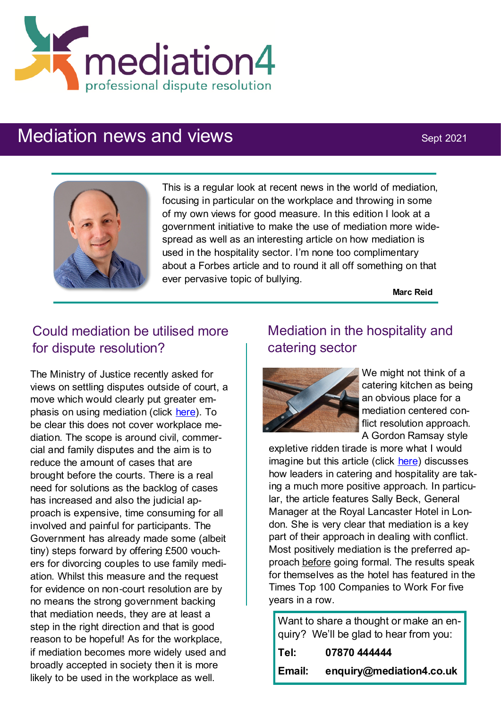

# Mediation news and views Sept 2021



This is a regular look at recent news in the world of mediation, focusing in particular on the workplace and throwing in some of my own views for good measure. In this edition I look at a government initiative to make the use of mediation more widespread as well as an interesting article on how mediation is used in the hospitality sector. I'm none too complimentary about a Forbes article and to round it all off something on that ever pervasive topic of bullying.

**Marc Reid**

# Could mediation be utilised more for dispute resolution?

The Ministry of Justice recently asked for views on settling disputes outside of court, a move which would clearly put greater emphasis on using mediation (click [here\).](https://www.lawgazette.co.uk/news/moj-seeks-views-on-expanding-mediation-/5109448.article) To be clear this does not cover workplace mediation. The scope is around civil, commercial and family disputes and the aim is to reduce the amount of cases that are brought before the courts. There is a real need for solutions as the backlog of cases has increased and also the judicial approach is expensive, time consuming for all involved and painful for participants. The Government has already made some (albeit tiny) steps forward by offering £500 vouchers for divorcing couples to use family mediation. Whilst this measure and the request for evidence on non-court resolution are by no means the strong government backing that mediation needs, they are at least a step in the right direction and that is good reason to be hopeful! As for the workplace, if mediation becomes more widely used and broadly accepted in society then it is more likely to be used in the workplace as well.

# Mediation in the hospitality and catering sector



We might not think of a catering kitchen as being an obvious place for a mediation centered conflict resolution approach. A Gordon Ramsay style

expletive ridden tirade is more what I would imagine but this article (click [here\)](https://www.thecaterer.com/people/staffing/harassment-fair-kitchens-resolving-conflict) discusses how leaders in catering and hospitality are taking a much more positive approach. In particular, the article features Sally Beck, General Manager at the Royal Lancaster Hotel in London. She is very clear that mediation is a key part of their approach in dealing with conflict. Most positively mediation is the preferred approach before going formal. The results speak for themselves as the hotel has featured in the Times Top 100 Companies to Work For five years in a row.

Want to share a thought or make an enquiry? We'll be glad to hear from you:

| Tel:   | 07870 444444             |
|--------|--------------------------|
| Email: | enquiry@mediation4.co.uk |